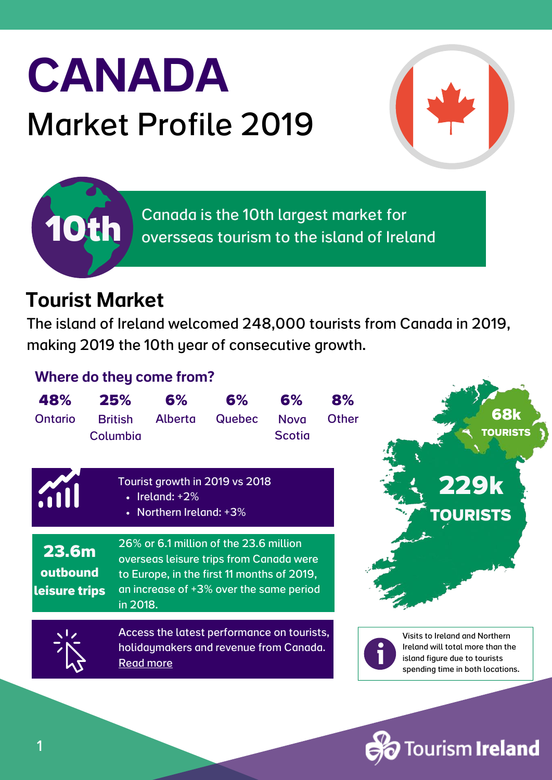# CANADA Market Profile 2019



Canada is the 10th largest market for oversseas tourism to the island of Ireland

#### Tourist Market

**10th**

The island of Ireland welcomed 248,000 tourists from Canada in 2019, making 2019 the 10th year of consecutive growth.

#### Where do they come from?

| 48%<br><b>Ontario</b>                     | 25%<br><b>British</b><br>Columbia | 6%<br><b>Alberta</b>                          | 6%<br><b>Quebec</b>                                                                                                                                                        | 6%<br><b>Nova</b><br><b>Scotia</b> | 8%<br><b>Other</b> | 68k<br><b>TOURISTS</b>                                                                                                                  |
|-------------------------------------------|-----------------------------------|-----------------------------------------------|----------------------------------------------------------------------------------------------------------------------------------------------------------------------------|------------------------------------|--------------------|-----------------------------------------------------------------------------------------------------------------------------------------|
|                                           | $\bullet$                         | $\cdot$ Ireland: +2%<br>Northern Ireland: +3% | Tourist growth in 2019 vs 2018                                                                                                                                             |                                    |                    | <b>229k</b><br><b>TOURISTS</b>                                                                                                          |
| <b>23.6m</b><br>outbound<br>leisure trips | in 2018.                          |                                               | 26% or 6.1 million of the 23.6 million<br>overseas leisure trips from Canada were<br>to Europe, in the first 11 months of 2019,<br>an increase of +3% over the same period |                                    |                    |                                                                                                                                         |
|                                           |                                   | <b>Read more</b>                              | Access the latest performance on tourists,<br>holidaymakers and revenue from Canada.                                                                                       |                                    |                    | Visits to Ireland and Northern<br>Ireland will total more than the<br>island figure due to tourists<br>spending time in both locations. |
|                                           |                                   |                                               |                                                                                                                                                                            |                                    |                    |                                                                                                                                         |

ourism **Ireland**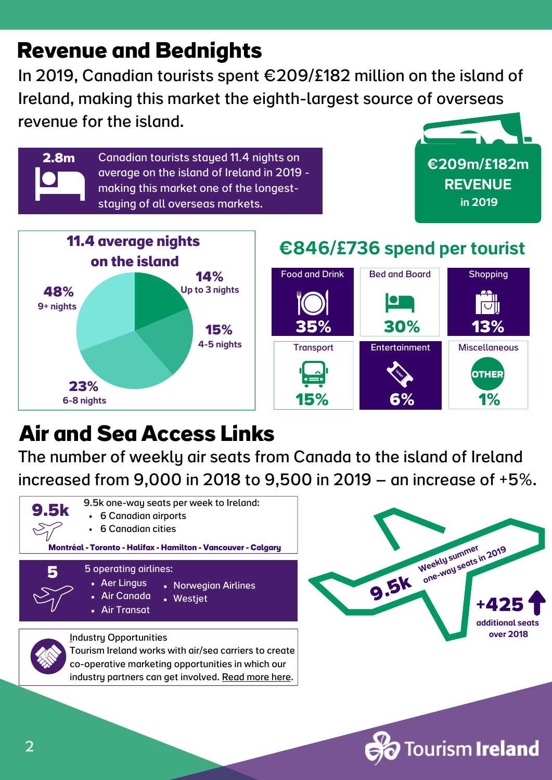## **Revenue and Bednights**

**2.8m**

In 2019, Canadian tourists spent €209/£182 million on the island of Ireland, making this market the eighth-largest source of overseas revenue for the island.

> Canadian tourists stayed 11.4 nights on average on the island of Ireland in 2019 making this market one of the longeststaying of all overseas markets.





#### €846/£736 spend per tourist



## **Air and Sea Access Links**

The number of weekly air seats from Canada to the island of Ireland increased from 9,000 in 2018 to 9,500 in 2019 – an increase of +5%.





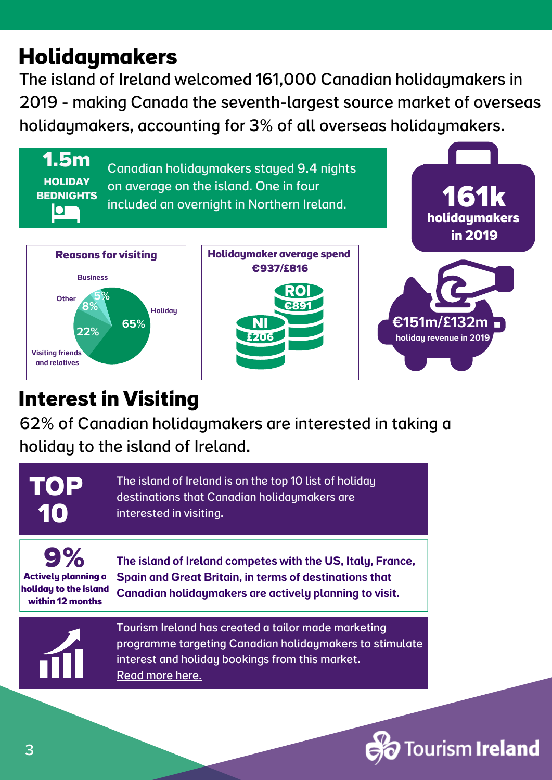## **Holidaymakers**

The island of Ireland welcomed 161,000 Canadian holidaymakers in 2019 - making Canada the seventh-largest source market of overseas holidaymakers, accounting for 3% of all overseas holidaymakers.



### **Interestin Visiting**

62% of Canadian holidaymakers are interested in taking a holiday to the island of Ireland.



**Actively planning a holiday to the island within 12 months**

The island of Ireland competes with the US, Italy, France, Spain and Great Britain, in terms of destinations that Canadian holidaymakers are actively planning to visit.



Tourism Ireland has created a tailor made marketing programme targeting Canadian [holidaymakers](https://www.tourismirelandindustryopportunities.com/overseas-markets/north-america/canada) to stimulate interest and holiday bookings from this market. Read [more](https://www.tourismirelandindustryopportunities.com/overseas-markets/north-america/canada) here.

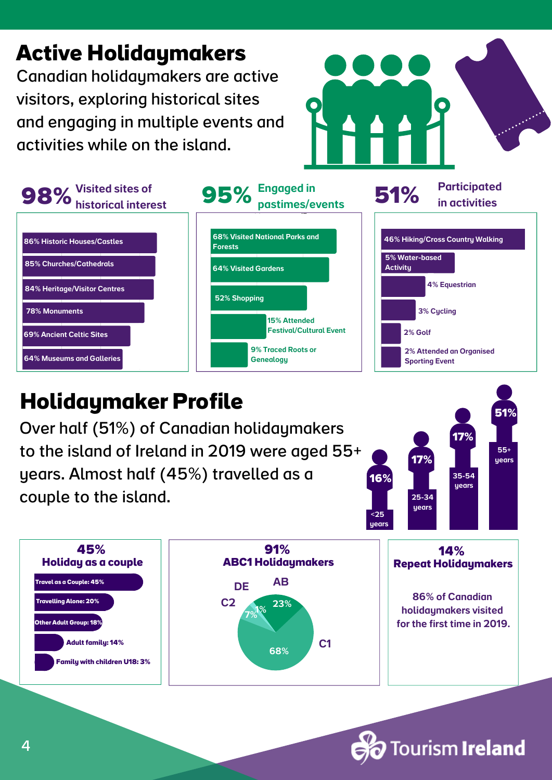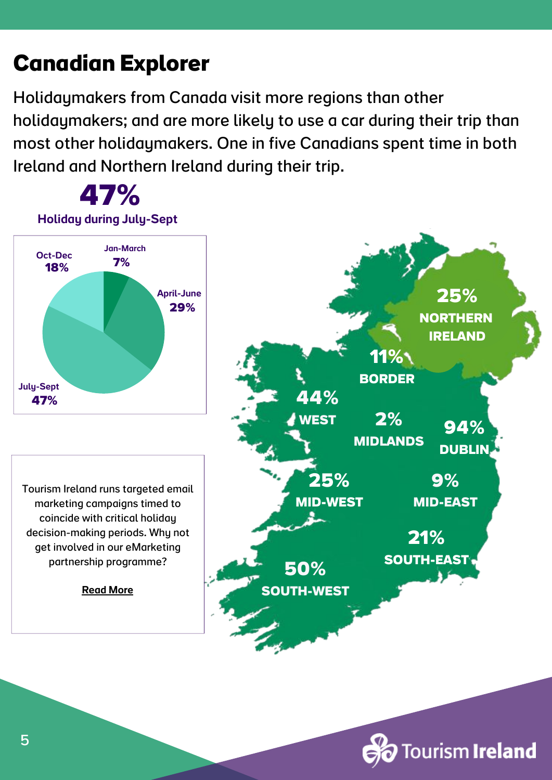## **Canadian Explorer**

Holidaymakers from Canada visit more regions than other holidaymakers; and are more likely to use a car during their trip than most other holidaymakers. One in five Canadians spent time in both Ireland and Northern Ireland during their trip.

**47%**